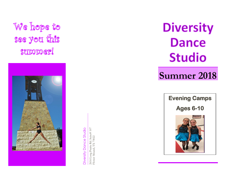We hope to see you this suppipper!



Diversity Dance Studio Diversity Dance Studio

2616 Long Prairie Rd. Suite# 107 2616 Long Prairie Rd. Suite# 107<br>Flower Mound, TX 75022 Flower Mound, TX 75022

**Diversity Dance Studio** 

# **Summer 2018**

**Evening Camps** 

**Ages 6 -10**